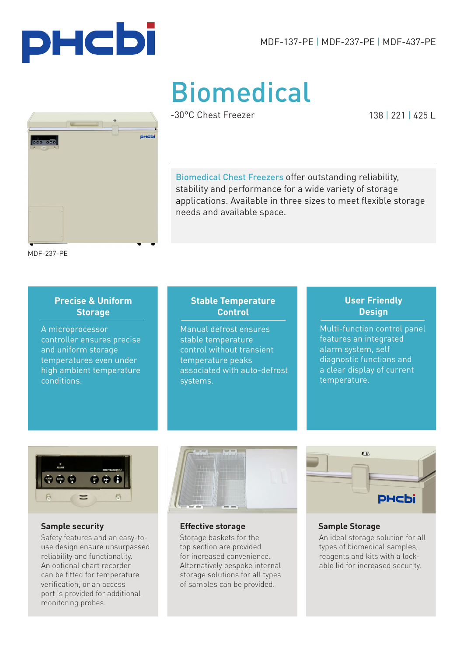



# Biomedical

**nuchi** 

-30°C Chest Freezer

138 | 221 | 425 L

Biomedical Chest Freezers offer outstanding reliability, stability and performance for a wide variety of storage applications. Available in three sizes to meet flexible storage needs and available space.

MDF-237-PE

#### **Precise & Uniform Storage**

A microprocessor controller ensures precise and uniform storage temperatures even under high ambient temperature conditions.

#### **Stable Temperature Control**

Manual defrost ensures stable temperature control without transient temperature peaks associated with auto-defrost systems.

#### **User Friendly Design**

Multi-function control panel features an integrated alarm system, self diagnostic functions and a clear display of current temperature.



Safety features and an easy-touse design ensure unsurpassed reliability and functionality. An optional chart recorder can be fitted for temperature verification, or an access port is provided for additional monitoring probes.



**Sample security Effective storage**

Storage baskets for the top section are provided for increased convenience. Alternatively bespoke internal storage solutions for all types of samples can be provided.



#### **Sample Storage**

An ideal storage solution for all types of biomedical samples, reagents and kits with a lockable lid for increased security.